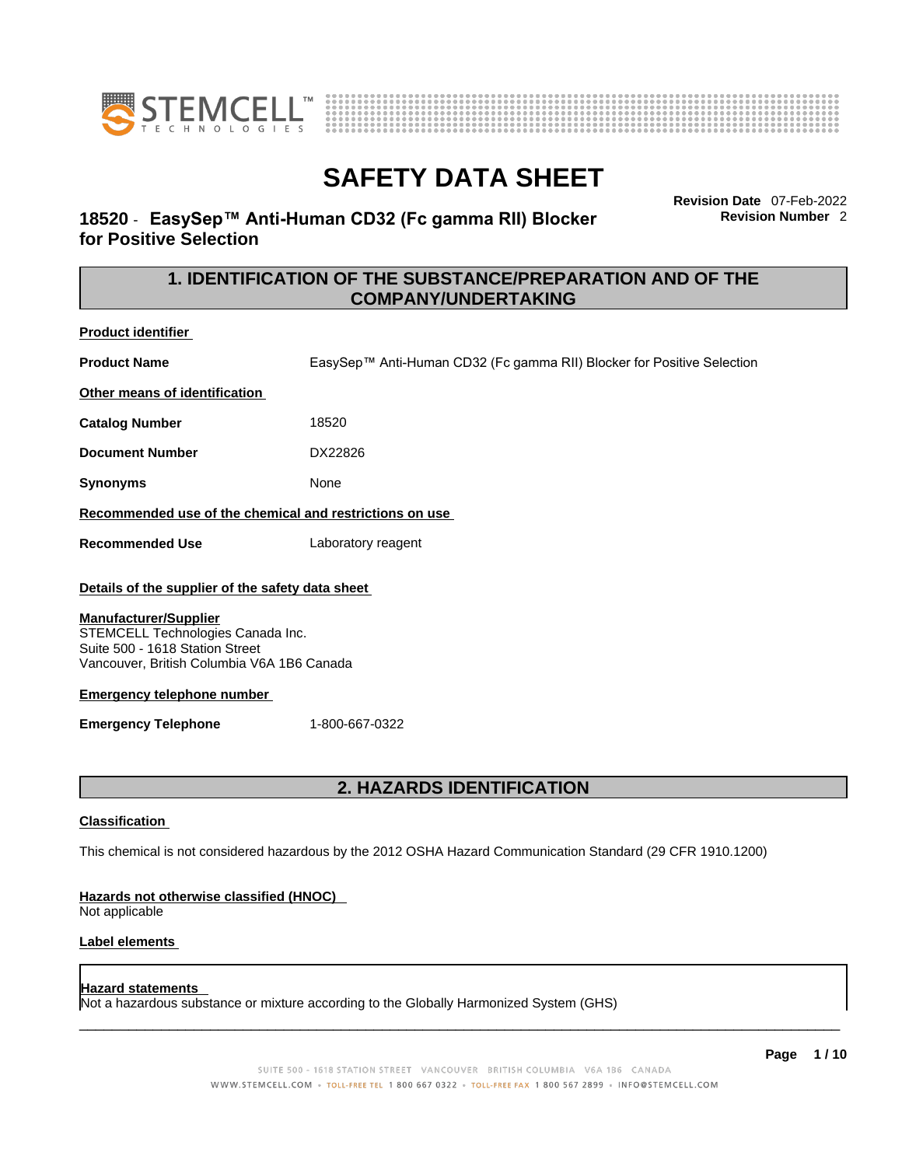



### **18520** - **EasySep™ Anti-Human CD32 (Fc gamma RII) Blocker for Positive Selection**

**Revision Date** 07-Feb-2022 **Revision Number** 2

### **1. IDENTIFICATION OF THE SUBSTANCE/PREPARATION AND OF THE COMPANY/UNDERTAKING**

| <b>Product identifier</b>                                         |                                                                        |  |  |
|-------------------------------------------------------------------|------------------------------------------------------------------------|--|--|
| <b>Product Name</b>                                               | EasySep™ Anti-Human CD32 (Fc gamma RII) Blocker for Positive Selection |  |  |
| Other means of identification                                     |                                                                        |  |  |
| <b>Catalog Number</b>                                             | 18520                                                                  |  |  |
| <b>Document Number</b>                                            | DX22826                                                                |  |  |
| <b>Synonyms</b>                                                   | None                                                                   |  |  |
| Recommended use of the chemical and restrictions on use           |                                                                        |  |  |
| <b>Recommended Use</b>                                            | Laboratory reagent                                                     |  |  |
| Details of the supplier of the safety data sheet                  |                                                                        |  |  |
| <b>Manufacturer/Supplier</b><br>STEMCELL Technologies Canada Inc. |                                                                        |  |  |

Suite 500 - 1618 Station Street Vancouver, British Columbia V6A 1B6 Canada

#### **Emergency telephone number**

**Emergency Telephone** 1-800-667-0322

### **2. HAZARDS IDENTIFICATION**

#### **Classification**

This chemical is not considered hazardous by the 2012 OSHA Hazard Communication Standard (29 CFR 1910.1200)

#### **Hazards not otherwise classified (HNOC)**

Not applicable

#### **Label elements**

#### **Hazard statements**

Not a hazardous substance or mixture according to the Globally Harmonized System (GHS)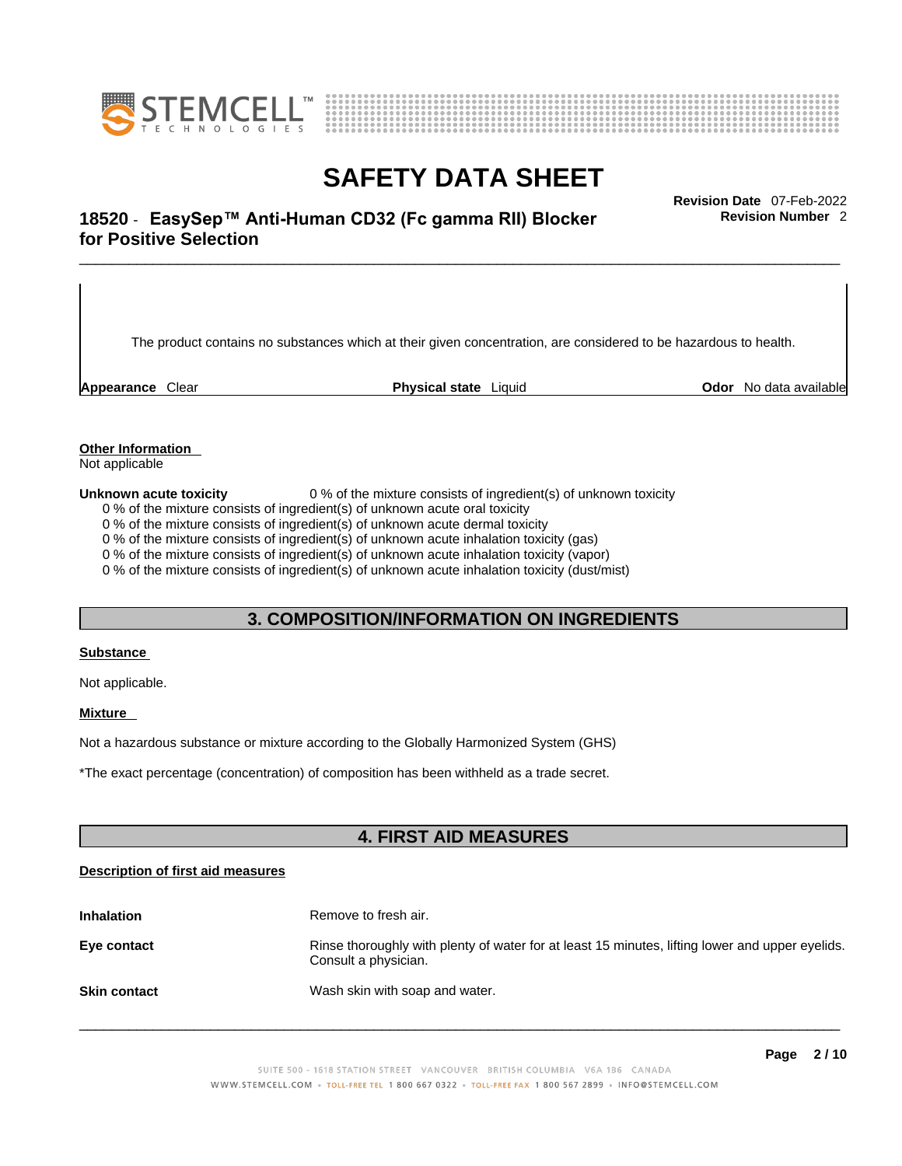



### \_\_\_\_\_\_\_\_\_\_\_\_\_\_\_\_\_\_\_\_\_\_\_\_\_\_\_\_\_\_\_\_\_\_\_\_\_\_\_\_\_\_\_\_\_\_\_\_\_\_\_\_\_\_\_\_\_\_\_\_\_\_\_\_\_\_\_\_\_\_\_\_\_\_\_\_\_\_\_\_\_\_\_\_\_\_\_\_\_\_\_\_\_ **Revision Date** 07-Feb-2022 **18520** - **EasySep™ Anti-Human CD32 (Fc gamma RII) Blocker for Positive Selection**

The product contains no substances which at their given concentration, are considered to be hazardous to health.

**Appearance** Clear **Physical state** Liquid **Odor** No data available

**Revision Number** 2

**Other Information** 

Not applicable

**Unknown acute toxicity** 0 % of the mixture consists of ingredient(s) of unknown toxicity

0 % of the mixture consists of ingredient(s) of unknown acute oral toxicity

0 % of the mixture consists of ingredient(s) of unknown acute dermal toxicity

0 % of the mixture consists of ingredient(s) of unknown acute inhalation toxicity (gas)

0 % of the mixture consists of ingredient(s) of unknown acute inhalation toxicity (vapor)

0 % of the mixture consists of ingredient(s) of unknown acute inhalation toxicity (dust/mist)

### **3. COMPOSITION/INFORMATION ON INGREDIENTS**

#### **Substance**

Not applicable.

#### **Mixture**

Not a hazardous substance or mixture according to the Globally Harmonized System (GHS)

\*The exact percentage (concentration) ofcomposition has been withheld as a trade secret.

### **4. FIRST AID MEASURES**

#### **Description of first aid measures**

| <b>Inhalation</b>   | Remove to fresh air.                                                                                                    |
|---------------------|-------------------------------------------------------------------------------------------------------------------------|
| Eye contact         | Rinse thoroughly with plenty of water for at least 15 minutes, lifting lower and upper eyelids.<br>Consult a physician. |
| <b>Skin contact</b> | Wash skin with soap and water.                                                                                          |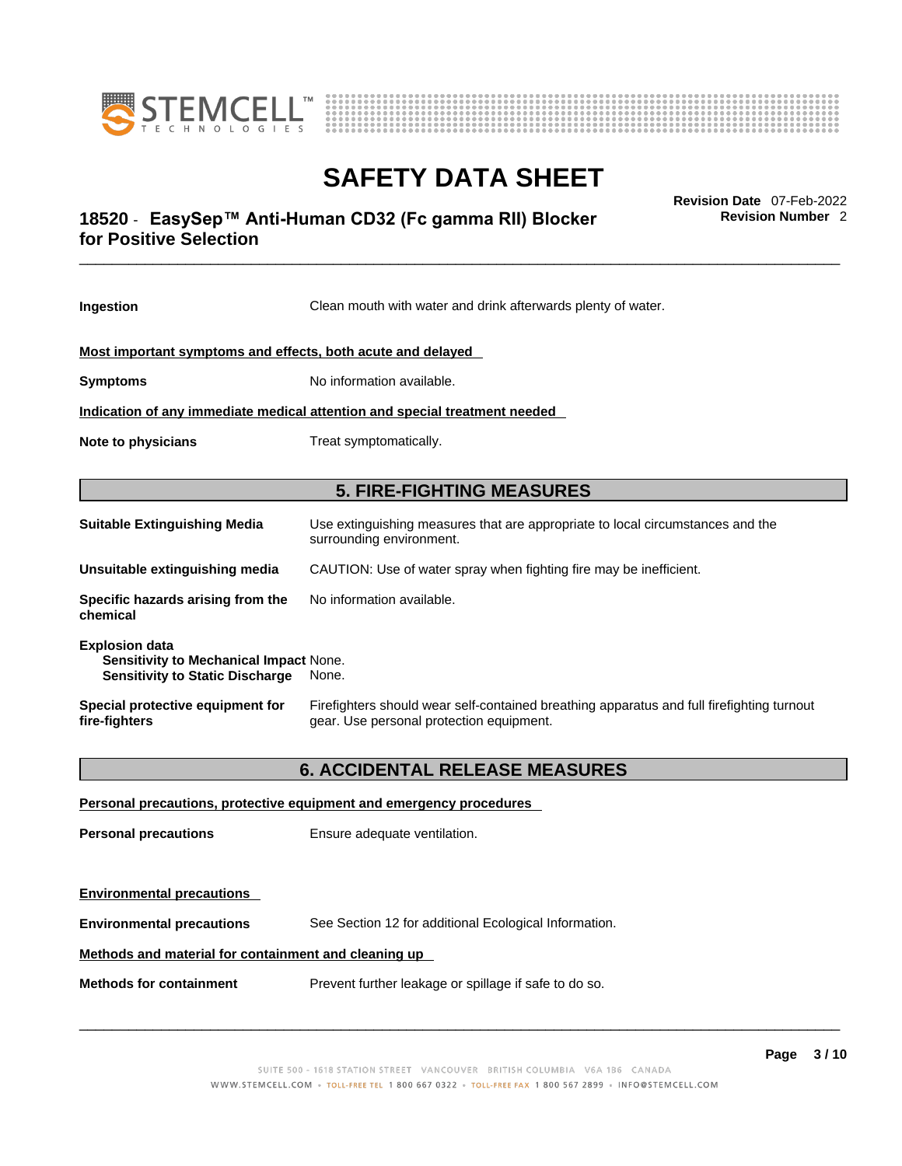



### \_\_\_\_\_\_\_\_\_\_\_\_\_\_\_\_\_\_\_\_\_\_\_\_\_\_\_\_\_\_\_\_\_\_\_\_\_\_\_\_\_\_\_\_\_\_\_\_\_\_\_\_\_\_\_\_\_\_\_\_\_\_\_\_\_\_\_\_\_\_\_\_\_\_\_\_\_\_\_\_\_\_\_\_\_\_\_\_\_\_\_\_\_ **Revision Date** 07-Feb-2022 **18520** - **EasySep™ Anti-Human CD32 (Fc gamma RII) Blocker for Positive Selection**

**Revision Number** 2

| Ingestion                                                                                                 | Clean mouth with water and drink afterwards plenty of water.                                                                          |  |
|-----------------------------------------------------------------------------------------------------------|---------------------------------------------------------------------------------------------------------------------------------------|--|
| Most important symptoms and effects, both acute and delayed                                               |                                                                                                                                       |  |
| <b>Symptoms</b>                                                                                           | No information available.                                                                                                             |  |
| Indication of any immediate medical attention and special treatment needed                                |                                                                                                                                       |  |
| <b>Note to physicians</b>                                                                                 | Treat symptomatically.                                                                                                                |  |
|                                                                                                           | <b>5. FIRE-FIGHTING MEASURES</b>                                                                                                      |  |
| <b>Suitable Extinguishing Media</b>                                                                       | Use extinguishing measures that are appropriate to local circumstances and the<br>surrounding environment.                            |  |
| Unsuitable extinguishing media                                                                            | CAUTION: Use of water spray when fighting fire may be inefficient.                                                                    |  |
| Specific hazards arising from the<br>chemical                                                             | No information available.                                                                                                             |  |
| <b>Explosion data</b><br>Sensitivity to Mechanical Impact None.<br><b>Sensitivity to Static Discharge</b> | None.                                                                                                                                 |  |
| Special protective equipment for<br>fire-fighters                                                         | Firefighters should wear self-contained breathing apparatus and full firefighting turnout<br>gear. Use personal protection equipment. |  |
|                                                                                                           | <b>6. ACCIDENTAL RELEASE MEASURES</b>                                                                                                 |  |
|                                                                                                           | Personal precautions, protective equipment and emergency procedures                                                                   |  |
| <b>Personal precautions</b>                                                                               | Ensure adequate ventilation.                                                                                                          |  |
| <b>Environmental precautions</b>                                                                          |                                                                                                                                       |  |

**Environmental precautions** See Section 12 for additional Ecological Information.

#### **Methods and material for containment and cleaning up**

**Methods for containment** Prevent further leakage or spillage if safe to do so.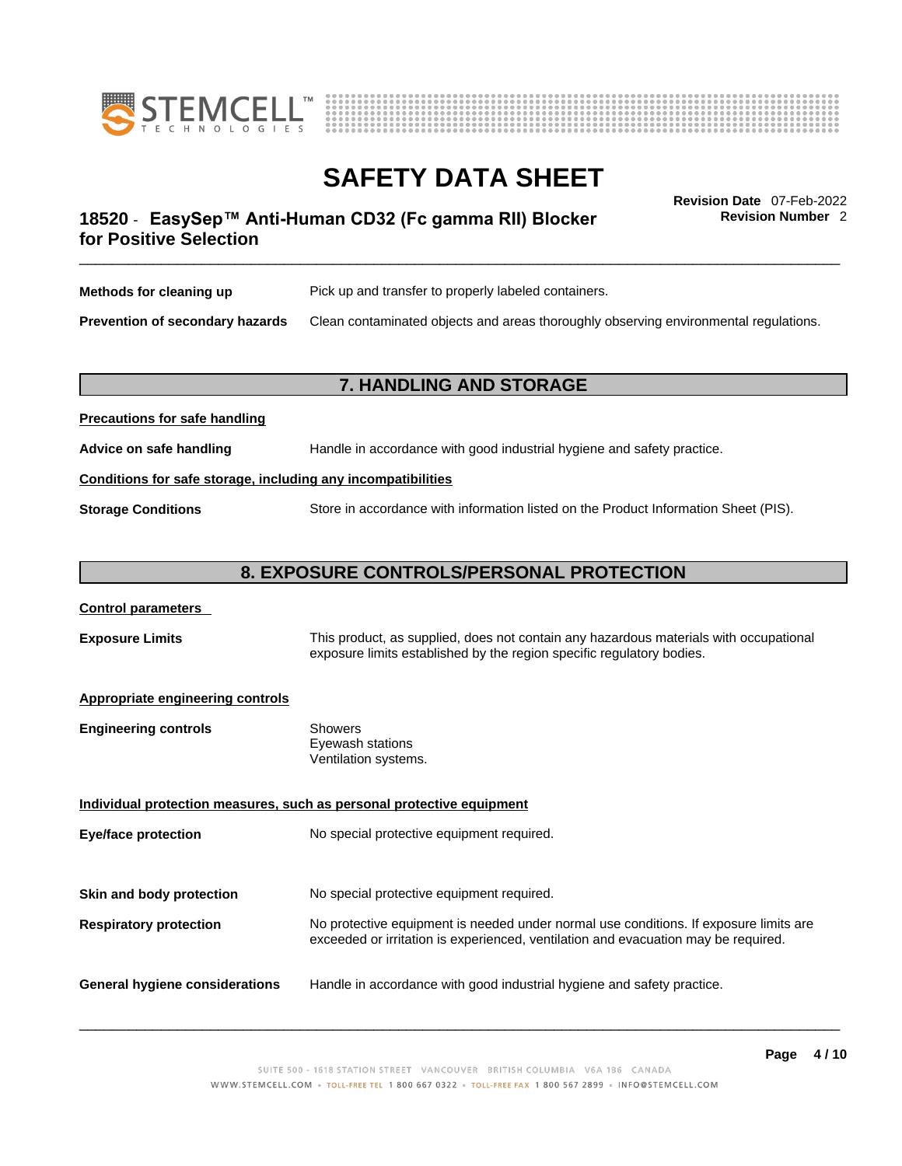



### \_\_\_\_\_\_\_\_\_\_\_\_\_\_\_\_\_\_\_\_\_\_\_\_\_\_\_\_\_\_\_\_\_\_\_\_\_\_\_\_\_\_\_\_\_\_\_\_\_\_\_\_\_\_\_\_\_\_\_\_\_\_\_\_\_\_\_\_\_\_\_\_\_\_\_\_\_\_\_\_\_\_\_\_\_\_\_\_\_\_\_\_\_ **Revision Date** 07-Feb-2022 **18520** - **EasySep™ Anti-Human CD32 (Fc gamma RII) Blocker for Positive Selection**

**Revision Number** 2

| Methods for cleaning up         | Pick up and transfer to properly labeled containers.                                 |
|---------------------------------|--------------------------------------------------------------------------------------|
| Prevention of secondary hazards | Clean contaminated objects and areas thoroughly observing environmental regulations. |

### **7. HANDLING AND STORAGE**

| Advice on safe handling   | Handle in accordance with good industrial hygiene and safety practice.              |  |
|---------------------------|-------------------------------------------------------------------------------------|--|
|                           | Conditions for safe storage, including any incompatibilities                        |  |
| <b>Storage Conditions</b> | Store in accordance with information listed on the Product Information Sheet (PIS). |  |

### **8. EXPOSURE CONTROLS/PERSONAL PROTECTION**

| <b>Control parameters</b> |
|---------------------------|
|---------------------------|

**Precautions for safe handling**

**Exposure Limits** This product, as supplied, does not contain any hazardous materials with occupational exposure limits established by the region specific regulatory bodies.

#### **Appropriate engineering controls**

| <b>Engineering controls</b> | Showers              |
|-----------------------------|----------------------|
|                             | Eyewash stations     |
|                             | Ventilation systems. |
|                             |                      |

**Individual protection measures, such as personal protective equipment Eye/face protection** No special protective equipment required. **Skin and body protection** No special protective equipment required. **Respiratory protection** No protective equipment is needed under normal use conditions. If exposure limits are exceeded or irritation is experienced, ventilation and evacuation may be required. **General hygiene considerations** Handle in accordance with good industrial hygiene and safety practice.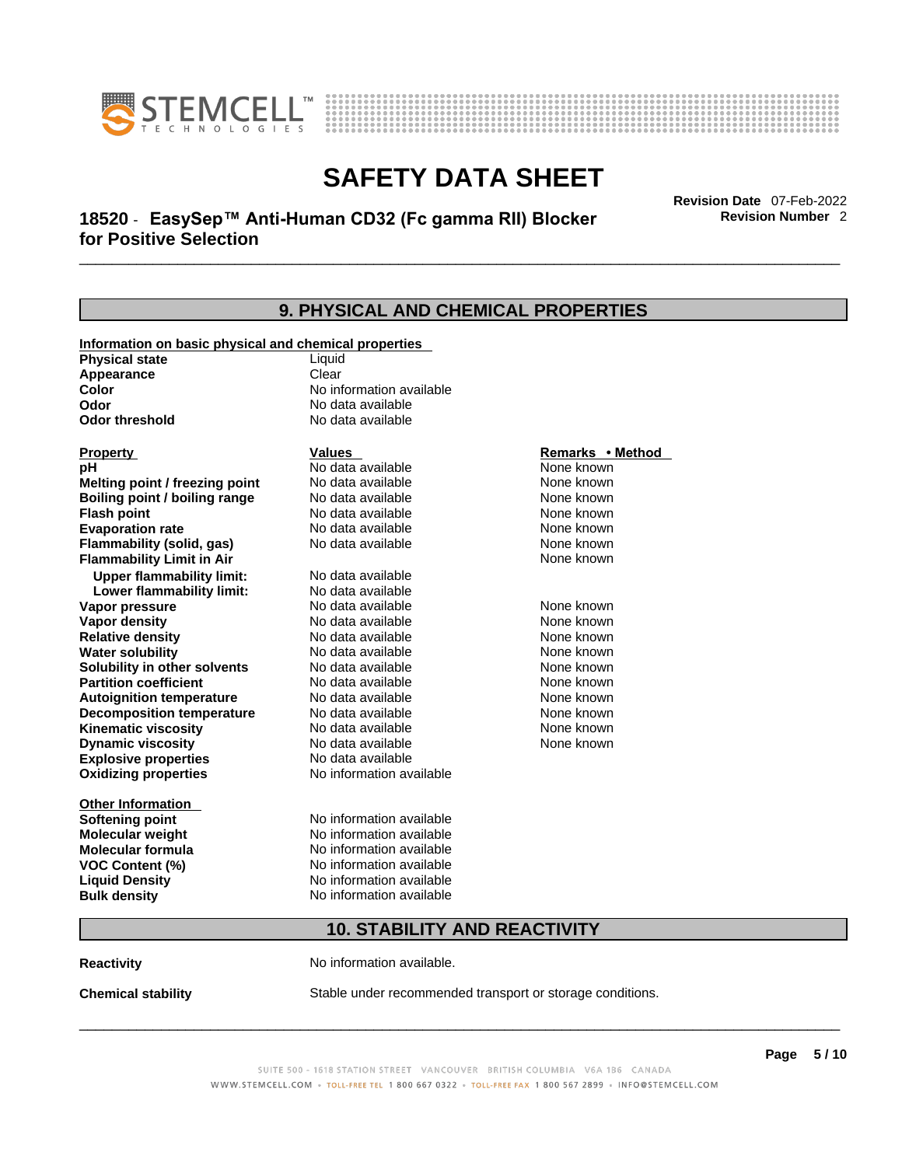



### \_\_\_\_\_\_\_\_\_\_\_\_\_\_\_\_\_\_\_\_\_\_\_\_\_\_\_\_\_\_\_\_\_\_\_\_\_\_\_\_\_\_\_\_\_\_\_\_\_\_\_\_\_\_\_\_\_\_\_\_\_\_\_\_\_\_\_\_\_\_\_\_\_\_\_\_\_\_\_\_\_\_\_\_\_\_\_\_\_\_\_\_\_ **Revision Date** 07-Feb-2022 **18520** - **EasySep™ Anti-Human CD32 (Fc gamma RII) Blocker for Positive Selection**

**Revision Number** 2

|                                                       | 9. PHYSICAL AND CHEMICAL PROPERTIES |                  |  |
|-------------------------------------------------------|-------------------------------------|------------------|--|
| Information on basic physical and chemical properties |                                     |                  |  |
| <b>Physical state</b>                                 | Liquid                              |                  |  |
| Appearance                                            | Clear                               |                  |  |
| Color                                                 | No information available            |                  |  |
| Odor                                                  | No data available                   |                  |  |
| <b>Odor threshold</b>                                 | No data available                   |                  |  |
| <b>Property</b>                                       | <b>Values</b>                       | Remarks • Method |  |
| pН                                                    | No data available                   | None known       |  |
| Melting point / freezing point                        | No data available                   | None known       |  |
| <b>Boiling point / boiling range</b>                  | No data available                   | None known       |  |
| <b>Flash point</b>                                    | No data available                   | None known       |  |
| <b>Evaporation rate</b>                               | No data available                   | None known       |  |
| Flammability (solid, gas)                             | No data available                   | None known       |  |
| <b>Flammability Limit in Air</b>                      |                                     | None known       |  |
| <b>Upper flammability limit:</b>                      | No data available                   |                  |  |
| Lower flammability limit:                             | No data available                   |                  |  |
| Vapor pressure                                        | No data available                   | None known       |  |
| Vapor density                                         | No data available                   | None known       |  |
| <b>Relative density</b>                               | No data available                   | None known       |  |
| <b>Water solubility</b>                               | No data available                   | None known       |  |
| Solubility in other solvents                          | No data available                   | None known       |  |
| <b>Partition coefficient</b>                          | No data available                   | None known       |  |
| <b>Autoignition temperature</b>                       | No data available                   | None known       |  |
| <b>Decomposition temperature</b>                      | No data available                   | None known       |  |
| <b>Kinematic viscosity</b>                            | No data available                   | None known       |  |
| <b>Dynamic viscosity</b>                              | No data available                   | None known       |  |
| <b>Explosive properties</b>                           | No data available                   |                  |  |
| <b>Oxidizing properties</b>                           | No information available            |                  |  |
| Other Information                                     |                                     |                  |  |
| <b>Softening point</b>                                | No information available            |                  |  |
| <b>Molecular weight</b>                               | No information available            |                  |  |
| Molecular formula                                     | No information available            |                  |  |
| <b>VOC Content (%)</b>                                | No information available            |                  |  |
| <b>Liquid Density</b>                                 | No information available            |                  |  |
| <b>Bulk density</b>                                   | No information available            |                  |  |
|                                                       | <b>10. STABILITY AND REACTIVITY</b> |                  |  |
|                                                       |                                     |                  |  |

**Reactivity No information available.** 

**Chemical stability** Stable under recommended transport or storage conditions.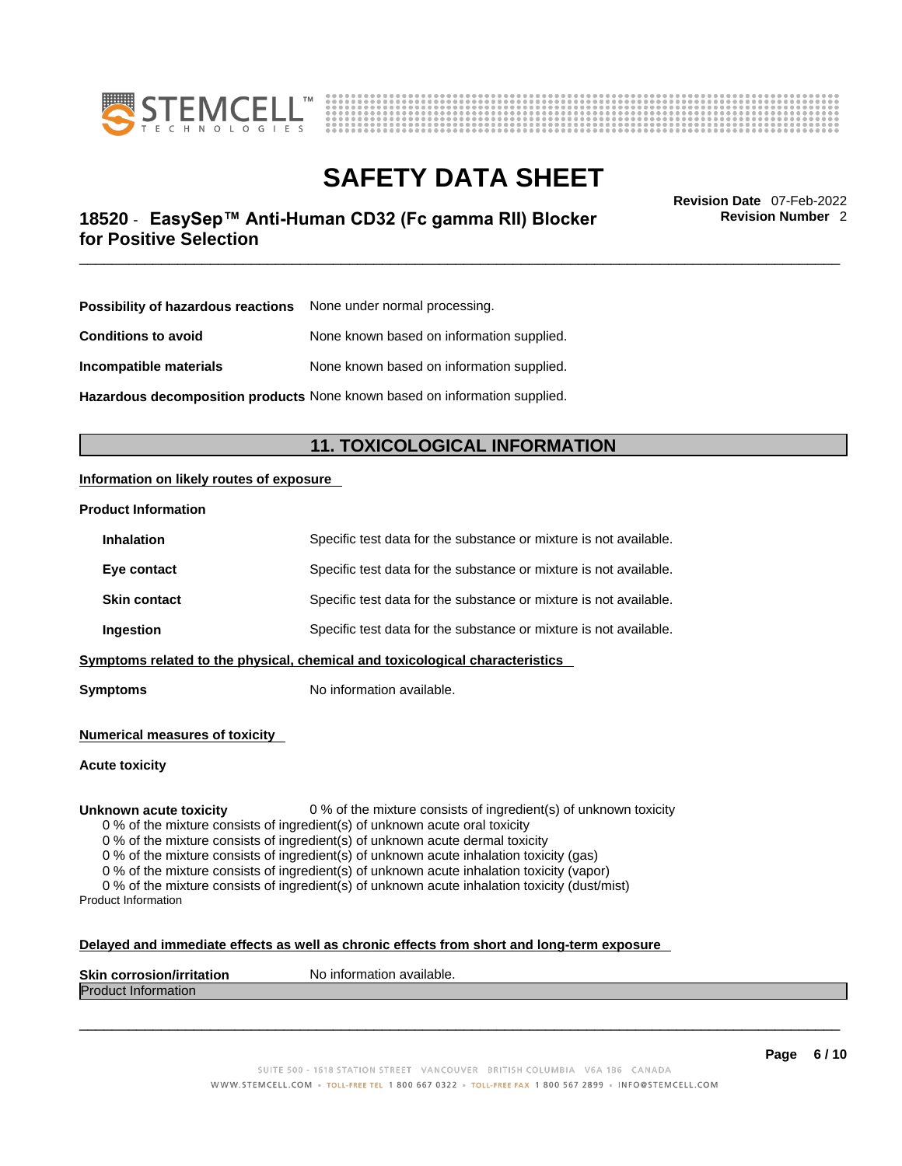



### \_\_\_\_\_\_\_\_\_\_\_\_\_\_\_\_\_\_\_\_\_\_\_\_\_\_\_\_\_\_\_\_\_\_\_\_\_\_\_\_\_\_\_\_\_\_\_\_\_\_\_\_\_\_\_\_\_\_\_\_\_\_\_\_\_\_\_\_\_\_\_\_\_\_\_\_\_\_\_\_\_\_\_\_\_\_\_\_\_\_\_\_\_ **Revision Date** 07-Feb-2022 **18520** - **EasySep™ Anti-Human CD32 (Fc gamma RII) Blocker for Positive Selection**

**Revision Number** 2

| <b>Possibility of hazardous reactions</b> None under normal processing. |                                           |
|-------------------------------------------------------------------------|-------------------------------------------|
| <b>Conditions to avoid</b>                                              | None known based on information supplied. |
| Incompatible materials                                                  | None known based on information supplied. |

**Hazardous decomposition products** None known based on information supplied.

### **11. TOXICOLOGICAL INFORMATION**

#### **Information on likely routes of exposure**

#### **Product Information**

| Ingestion           | Specific test data for the substance or mixture is not available. |
|---------------------|-------------------------------------------------------------------|
| <b>Skin contact</b> | Specific test data for the substance or mixture is not available. |
| Eye contact         | Specific test data for the substance or mixture is not available. |
| <b>Inhalation</b>   | Specific test data for the substance or mixture is not available. |

**Symptoms** No information available.

**Numerical measures of toxicity**

**Acute toxicity**

**Unknown acute toxicity** 0 % of the mixture consists of ingredient(s) of unknown toxicity

0 % of the mixture consists of ingredient(s) of unknown acute oral toxicity

0 % of the mixture consists of ingredient(s) of unknown acute dermal toxicity

0 % of the mixture consists of ingredient(s) of unknown acute inhalation toxicity (gas)

0 % of the mixture consists of ingredient(s) of unknown acute inhalation toxicity (vapor)

0 % of the mixture consists of ingredient(s) of unknown acute inhalation toxicity (dust/mist) Product Information

#### **Delayed and immediate effects as well as chronic effects from short and long-term exposure**

| <b>Skin</b><br><b>Virritation</b><br>Nο<br>. corros | inform<br>mation available. |
|-----------------------------------------------------|-----------------------------|
| Proo<br>nauon                                       |                             |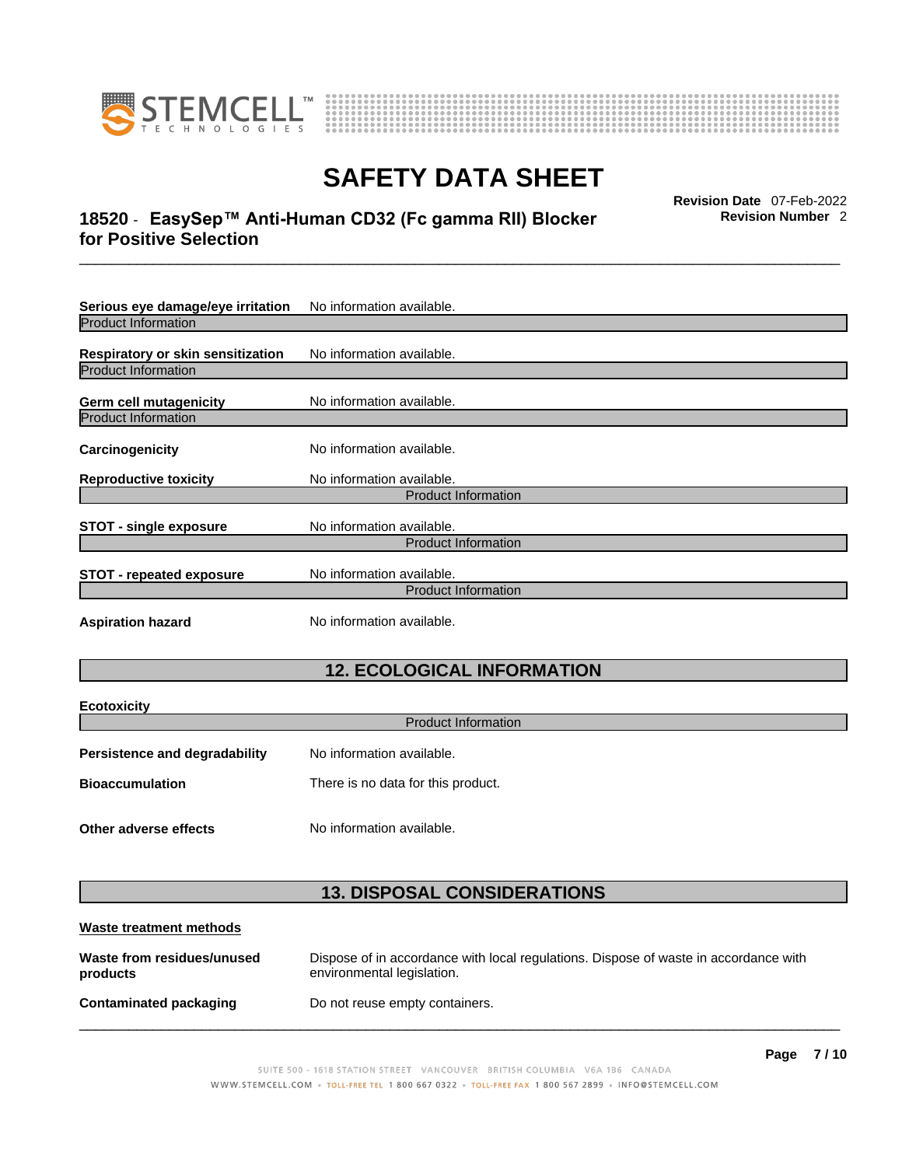



### \_\_\_\_\_\_\_\_\_\_\_\_\_\_\_\_\_\_\_\_\_\_\_\_\_\_\_\_\_\_\_\_\_\_\_\_\_\_\_\_\_\_\_\_\_\_\_\_\_\_\_\_\_\_\_\_\_\_\_\_\_\_\_\_\_\_\_\_\_\_\_\_\_\_\_\_\_\_\_\_\_\_\_\_\_\_\_\_\_\_\_\_\_ **Revision Date** 07-Feb-2022 **18520** - **EasySep™ Anti-Human CD32 (Fc gamma RII) Blocker for Positive Selection**

**Revision Number** 2

| Serious eye damage/eye irritation | No information available.  |
|-----------------------------------|----------------------------|
| <b>Product Information</b>        |                            |
| Respiratory or skin sensitization | No information available.  |
| <b>Product Information</b>        |                            |
| Germ cell mutagenicity            | No information available.  |
| <b>Product Information</b>        |                            |
| Carcinogenicity                   | No information available.  |
| <b>Reproductive toxicity</b>      | No information available.  |
|                                   | <b>Product Information</b> |
| <b>STOT - single exposure</b>     | No information available.  |
|                                   | <b>Product Information</b> |
| <b>STOT - repeated exposure</b>   | No information available.  |
|                                   | <b>Product Information</b> |
| <b>Aspiration hazard</b>          | No information available.  |

## **12. ECOLOGICAL INFORMATION**

| <b>Ecotoxicity</b><br><b>Product Information</b>             |                           |  |  |  |
|--------------------------------------------------------------|---------------------------|--|--|--|
| Persistence and degradability                                | No information available. |  |  |  |
| There is no data for this product.<br><b>Bioaccumulation</b> |                           |  |  |  |
| Other adverse effects                                        | No information available. |  |  |  |

### **13. DISPOSAL CONSIDERATIONS**

| Waste treatment methods                |                                                                                                                    |
|----------------------------------------|--------------------------------------------------------------------------------------------------------------------|
| Waste from residues/unused<br>products | Dispose of in accordance with local regulations. Dispose of waste in accordance with<br>environmental legislation. |
| Contaminated packaging                 | Do not reuse empty containers.                                                                                     |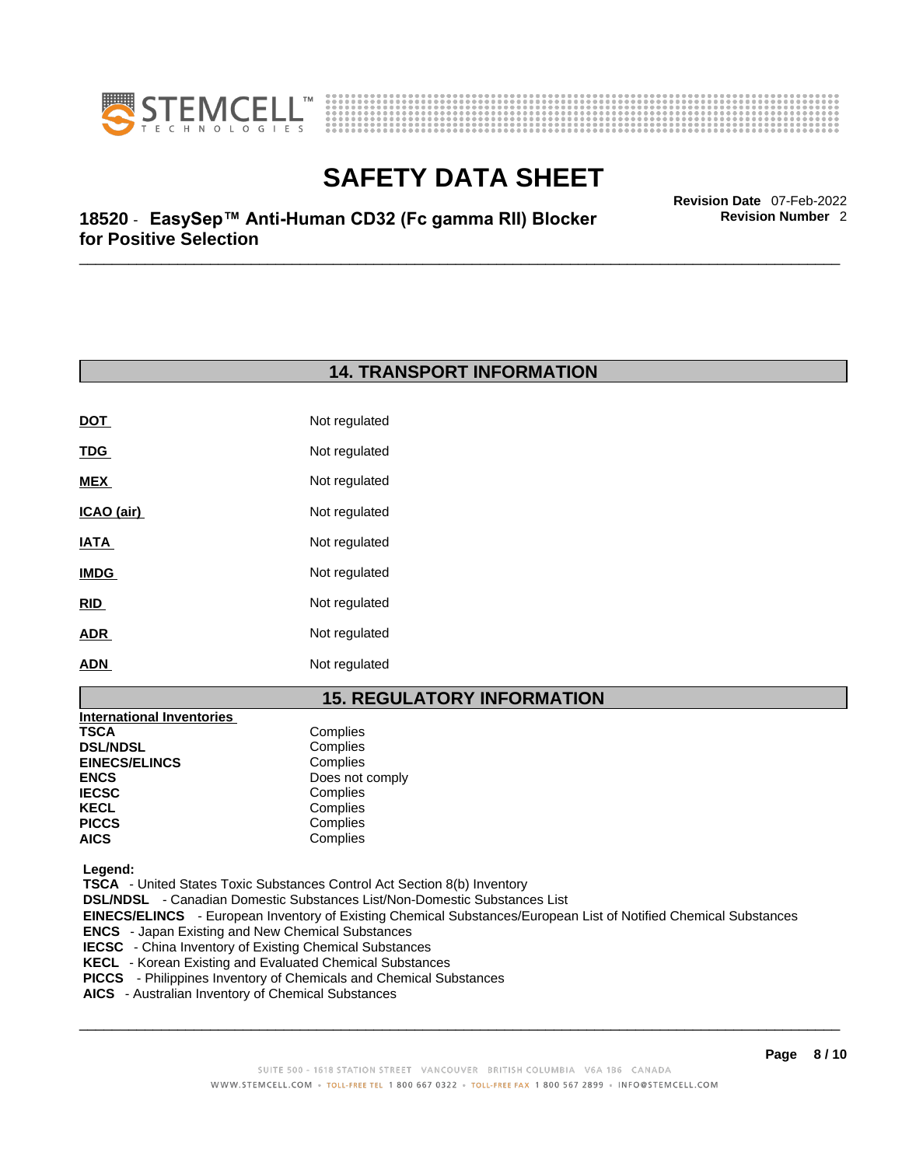



\_\_\_\_\_\_\_\_\_\_\_\_\_\_\_\_\_\_\_\_\_\_\_\_\_\_\_\_\_\_\_\_\_\_\_\_\_\_\_\_\_\_\_\_\_\_\_\_\_\_\_\_\_\_\_\_\_\_\_\_\_\_\_\_\_\_\_\_\_\_\_\_\_\_\_\_\_\_\_\_\_\_\_\_\_\_\_\_\_\_\_\_\_ **Revision Date** 07-Feb-2022 **18520** - **EasySep™ Anti-Human CD32 (Fc gamma RII) Blocker for Positive Selection** 

### **14. TRANSPORT INFORMATION**

| <b>DOT</b>  | Not regulated |
|-------------|---------------|
| <u>TDG</u>  | Not regulated |
| MEX         | Not regulated |
| ICAO (air)  | Not regulated |
| IATA        | Not regulated |
| <b>IMDG</b> | Not regulated |
| RID         | Not regulated |
| <b>ADR</b>  | Not regulated |
| <b>ADN</b>  | Not regulated |

### **15. REGULATORY INFORMATION**

| International Inventories |                 |
|---------------------------|-----------------|
| TSCA                      | Complies        |
| <b>DSL/NDSL</b>           | Complies        |
| <b>EINECS/ELINCS</b>      | Complies        |
| ENCS                      | Does not comply |
| <b>IECSC</b>              | Complies        |
| KECL                      | Complies        |
| PICCS                     | Complies        |
| AICS                      | Complies        |
|                           |                 |

 **Legend:** 

 **TSCA** - United States Toxic Substances Control Act Section 8(b) Inventory

 **DSL/NDSL** - Canadian Domestic Substances List/Non-Domestic Substances List

 **EINECS/ELINCS** - European Inventory of Existing Chemical Substances/European List of Notified Chemical Substances

- **ENCS**  Japan Existing and New Chemical Substances
- **IECSC**  China Inventory of Existing Chemical Substances
- **KECL**  Korean Existing and Evaluated Chemical Substances
- **PICCS**  Philippines Inventory of Chemicals and Chemical Substances
- **AICS**  Australian Inventory of Chemical Substances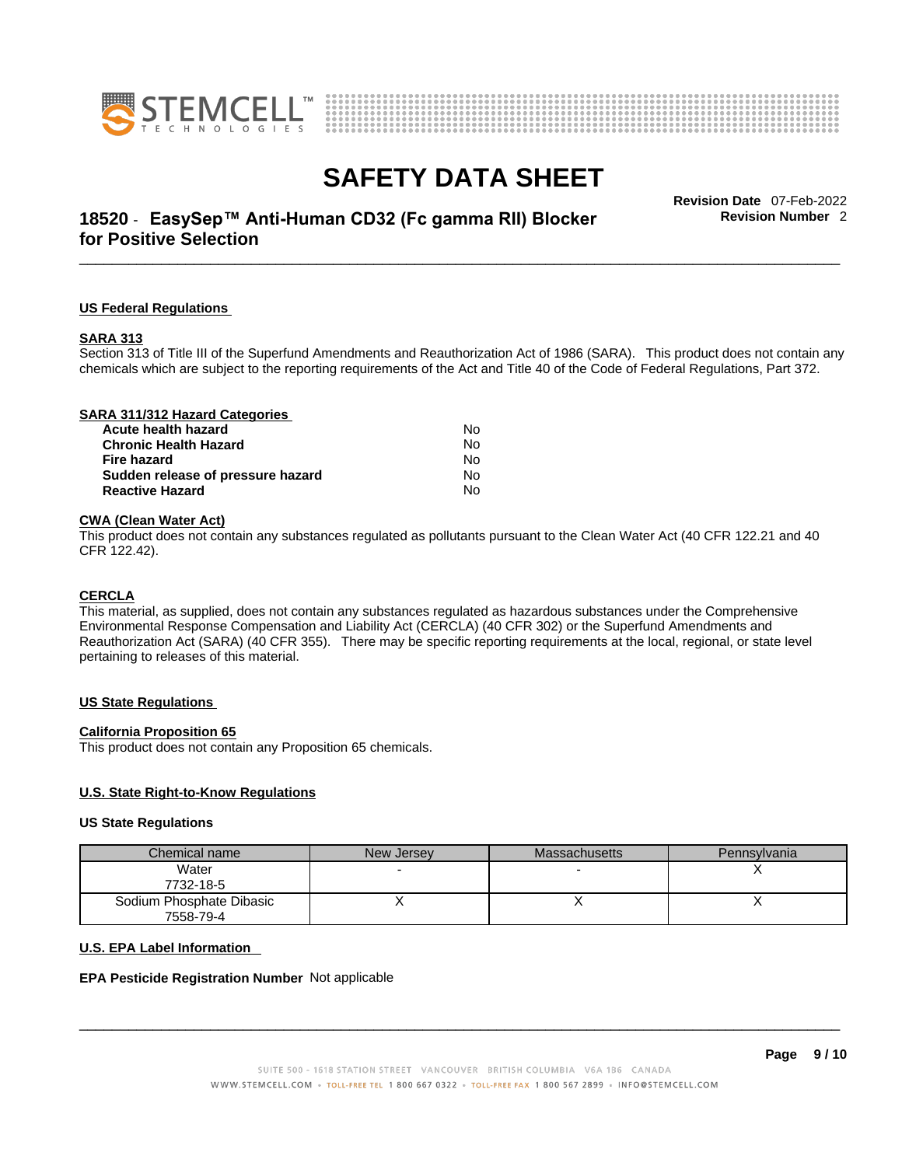



### \_\_\_\_\_\_\_\_\_\_\_\_\_\_\_\_\_\_\_\_\_\_\_\_\_\_\_\_\_\_\_\_\_\_\_\_\_\_\_\_\_\_\_\_\_\_\_\_\_\_\_\_\_\_\_\_\_\_\_\_\_\_\_\_\_\_\_\_\_\_\_\_\_\_\_\_\_\_\_\_\_\_\_\_\_\_\_\_\_\_\_\_\_ **Revision Date** 07-Feb-2022 **18520** - **EasySep™ Anti-Human CD32 (Fc gamma RII) Blocker for Positive Selection**

**Revision Number** 2

#### **US Federal Regulations**

#### **SARA 313**

Section 313 of Title III of the Superfund Amendments and Reauthorization Act of 1986 (SARA). This product does not contain any chemicals which are subject to the reporting requirements of the Act and Title 40 of the Code of Federal Regulations, Part 372.

#### **CWA** (Clean Water Act)

This product does not contain any substances regulated as pollutants pursuant to the Clean Water Act (40 CFR 122.21 and 40 CFR 122.42).

#### **CERCLA**

This material, as supplied, does not contain any substances regulated as hazardous substances under the Comprehensive Environmental Response Compensation and Liability Act (CERCLA) (40 CFR 302) or the Superfund Amendments and Reauthorization Act (SARA) (40 CFR 355). There may be specific reporting requirements at the local, regional, or state level pertaining to releases of this material.

#### **US State Regulations**

#### **California Proposition 65**

This product does not contain any Proposition 65 chemicals.

#### **U.S. State Right-to-Know Regulations**

#### **US State Regulations**

| Chemical name            | New Jersey | <b>Massachusetts</b> | Pennsylvania |
|--------------------------|------------|----------------------|--------------|
| Water                    |            |                      |              |
| 7732-18-5                |            |                      |              |
| Sodium Phosphate Dibasic |            |                      |              |
| 7558-79-4                |            |                      |              |

#### **U.S. EPA Label Information**

#### **EPA Pesticide Registration Number** Not applicable